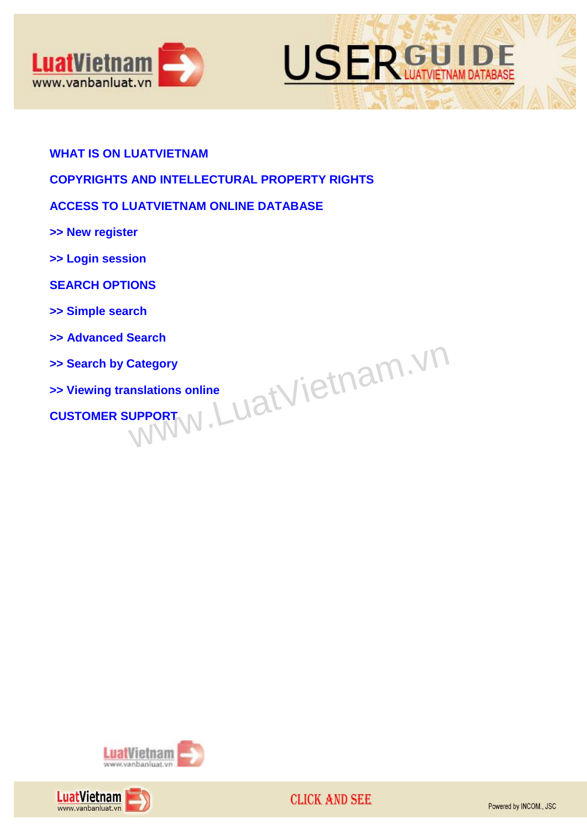



## **[WHAT IS ON LUATVIETNAM](#page-1-0)**

# **[COPYRIGHTS AND INTELLECTURAL PROPERTY RIGHTS](#page-1-1)**

# **[ACCESS TO LUATVIETNAM](#page-1-2) ONLINE DATABASE**

**>> [New register](#page-1-3)**

- **>> [Login session](#page-2-0)**
- **[SEARCH OPTIONS](#page-2-1)**
- **>> [Simple search](#page-2-2)**
- **>> [Advanced Search](#page-2-3)**
- **>> [Search by Category](#page-5-0)**
- **>> Viewing translations online Example Search by Category<br> [CUSTOMER SUPPORT](#page-7-0)<br>
WWW.[L](#page-6-0)UAtVietnam.vn/Vietnam.vn/Vietnam.vn/Vietnam.vn/Vietnam.vn/Vietnam.vn/Vietnam.vn/Vietnam.vn/Vietnam.vn/Vietnam.vn/Vietnam.vn/Vietnam.vn/Vietnam.vn/Vietnam.vn/Vietnam.vn/Vi**



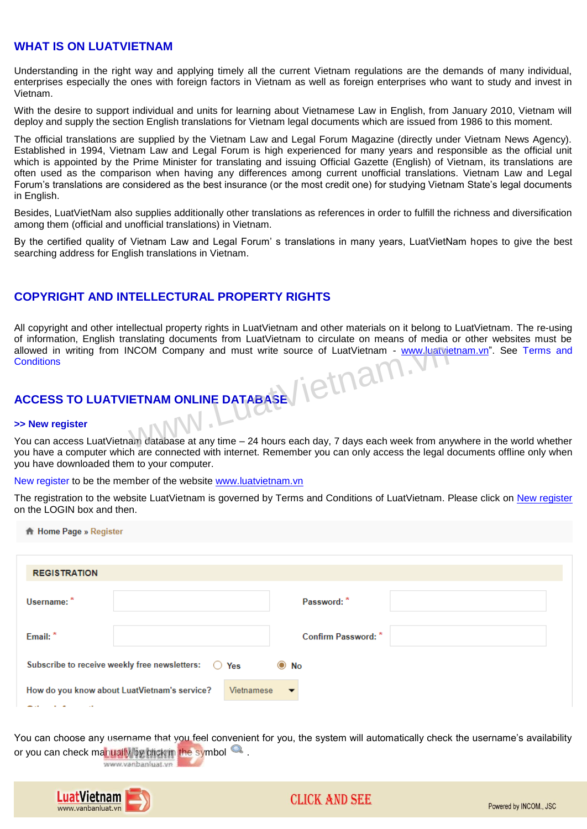## <span id="page-1-0"></span>**WHAT IS ON LUATVIETNAM**

Understanding in the right way and applying timely all the current Vietnam regulations are the demands of many individual, enterprises especially the ones with foreign factors in Vietnam as well as foreign enterprises who want to study and invest in Vietnam.

With the desire to support individual and units for learning about Vietnamese Law in English, from January 2010, Vietnam will deploy and supply the section English translations for Vietnam legal documents which are issued from 1986 to this moment.

The official translations are supplied by the Vietnam Law and Legal Forum Magazine (directly under Vietnam News Agency). Established in 1994, Vietnam Law and Legal Forum is high experienced for many years and responsible as the official unit which is appointed by the Prime Minister for translating and issuing Official Gazette (English) of Vietnam, its translations are often used as the comparison when having any differences among current unofficial translations. Vietnam Law and Legal Forum"s translations are considered as the best insurance (or the most credit one) for studying Vietnam State"s legal documents in English.

Besides, LuatVietNam also supplies additionally other translations as references in order to fulfill the richness and diversification among them (official and unofficial translations) in Vietnam.

By the certified quality of Vietnam Law and Legal Forum" s translations in many years, LuatVietNam hopes to give the best searching address for English translations in Vietnam.

# <span id="page-1-1"></span>**COPYRIGHT AND INTELLECTURAL PROPERTY RIGHTS**

All copyright and other intellectual property rights in LuatVietnam and other materials on it belong to LuatVietnam. The re-using of information, English translating documents from LuatVietnam to circulate on means of media or other websites must be allowed in writing from INCOM Company and must write source of LuatVietnam - [www.luatvietnam.vn"](http://www.luatvietnam.vn/). See Terms and **Conditions** NCOM Company and must write source of LuatVietnam - www.luatvietnam<br>ETNAM ONLINE DATABASE

# <span id="page-1-2"></span>**ACCESS TO LUATVIETNAM ONLINE DATABASE**

#### <span id="page-1-3"></span>**>> New register**

You can access LuatVietnam database at any time – 24 hours each day, 7 days each week from anywhere in the world whether you have a computer which are connected with internet. Remember you can only access the legal documents offline only when you have downloaded them to your computer.

New register to be the member of the website [www.luatvietnam.vn](http://www.luatvietnam.vn/)

The registration to the website LuatVietnam is governed by Terms and Conditions of LuatVietnam. Please click on New register on the LOGIN box and then.

**A** Home Page » Register

| <b>REGISTRATION</b>                                                           |                                        |  |  |  |  |
|-------------------------------------------------------------------------------|----------------------------------------|--|--|--|--|
| Username: *                                                                   | Password:                              |  |  |  |  |
| Email: *                                                                      | Confirm Password: *                    |  |  |  |  |
| Subscribe to receive weekly free newsletters:<br>$\odot$ No<br>$\bigcirc$ Yes |                                        |  |  |  |  |
| How do you know about LuatVietnam's service?<br>$\sim$ 10 $\,$                | Vietnamese<br>$\overline{\phantom{a}}$ |  |  |  |  |

You can choose any username that you feel convenient for you, the system will automatically check the username's availability or you can check manually by click in the symbol  $\mathbb Q$ . www.vanbanluat.vn



# **CLICK AND SEE**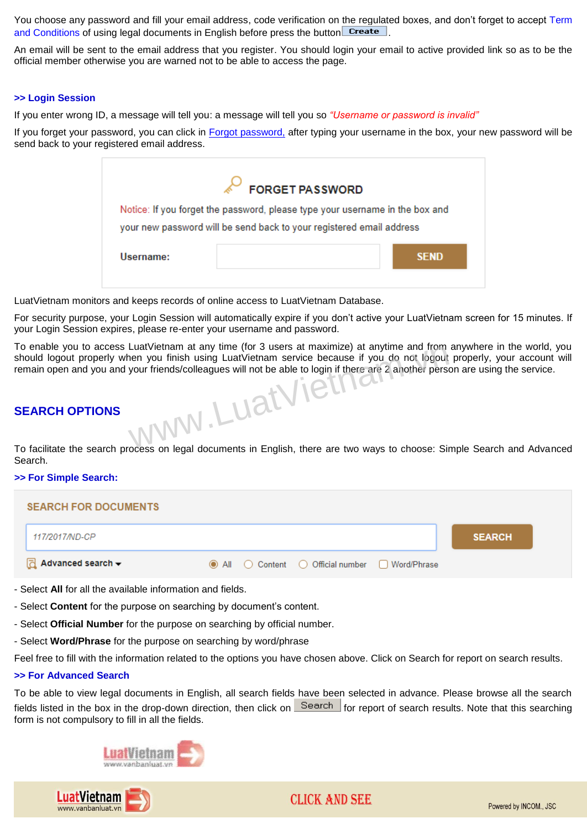You choose any password and fill your email address, code verification on the regulated boxes, and don't forget to accept Term and Conditions of using legal documents in English before press the button **Create**.

An email will be sent to the email address that you register. You should login your email to active provided link so as to be the official member otherwise you are warned not to be able to access the page.

#### <span id="page-2-0"></span>**>> Login Session**

If you enter wrong ID, a message will tell you: a message will tell you so *"Username or password is invalid"*

If you forget your password, you can click in Forgot password, after typing your username in the box, your new password will be send back to your registered email address.

| Notice: If you forget the password, please type your username in the box and<br>your new password will be send back to your registered email address |  |  |  |  |
|------------------------------------------------------------------------------------------------------------------------------------------------------|--|--|--|--|
| <b>SEND</b>                                                                                                                                          |  |  |  |  |
|                                                                                                                                                      |  |  |  |  |

LuatVietnam monitors and keeps records of online access to LuatVietnam Database.

For security purpose, your Login Session will automatically expire if you don"t active your LuatVietnam screen for 15 minutes. If your Login Session expires, please re-enter your username and password.

To enable you to access LuatVietnam at any time (for 3 users at maximize) at anytime and from anywhere in the world, you should logout properly when you finish using LuatVietnam service because if you do not logout properly, your account will remain open and you and your friends/colleagues will not be able to login if there are 2 another person are using the service. ww.LuatViet

## <span id="page-2-1"></span>**SEARCH OPTIONS**

To facilitate the search process on legal documents in English, there are two ways to choose: Simple Search and Advanced Search.

#### <span id="page-2-2"></span>*>>* **For Simple Search:**

| <b>SEARCH FOR DOCUMENTS</b>       |                                                 |               |  |
|-----------------------------------|-------------------------------------------------|---------------|--|
| 117/2017/ND-CP                    |                                                 | <b>SEARCH</b> |  |
| $\sqrt{d}$ Advanced search $\div$ | ◉ All ⊙ Content ○ Official number □ Word/Phrase |               |  |

- Select **All** for all the available information and fields.
- Select **Content** for the purpose on searching by document's content.
- Select **Official Number** for the purpose on searching by official number.
- Select **Word/Phrase** for the purpose on searching by word/phrase

Feel free to fill with the information related to the options you have chosen above. Click on Search for report on search results.

## <span id="page-2-3"></span>**>> For Advanced Search**

To be able to view legal documents in English, all search fields have been selected in advance. Please browse all the search fields listed in the box in the drop-down direction, then click on  $\frac{S\text{earth}}{S}$  for report of search results. Note that this searching form is not compulsory to fill in all the fields.



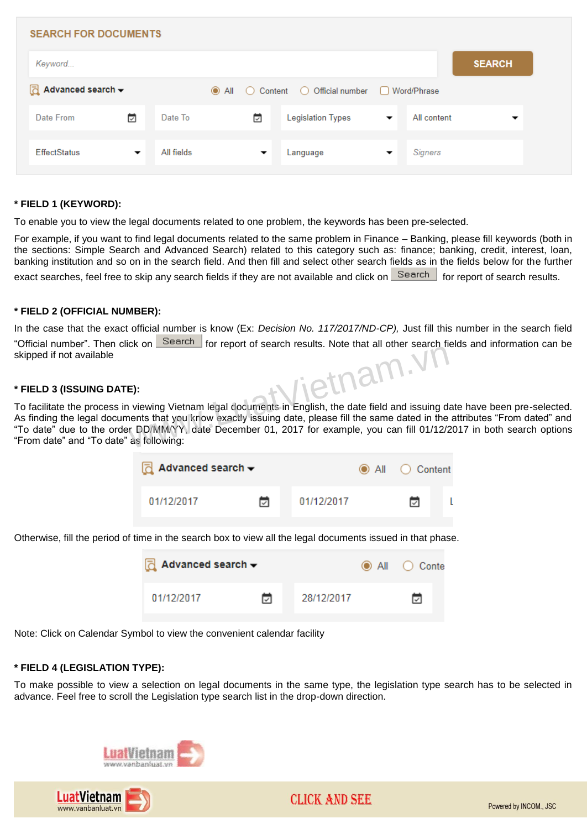| <b>SEARCH FOR DOCUMENTS</b>                  |                          |            |                          |                                         |                          |             |               |  |
|----------------------------------------------|--------------------------|------------|--------------------------|-----------------------------------------|--------------------------|-------------|---------------|--|
| Keyword                                      |                          |            |                          |                                         |                          |             | <b>SEARCH</b> |  |
| $\Box$ Advanced search $\blacktriangleright$ |                          |            | $\odot$ All $\odot$      | Content ◯ Official number ◯ Word/Phrase |                          |             |               |  |
| Date From                                    | ⊡                        | Date To    | ü                        | <b>Legislation Types</b>                | $\overline{\phantom{a}}$ | All content | ▼             |  |
| <b>EffectStatus</b>                          | $\overline{\phantom{a}}$ | All fields | $\overline{\phantom{a}}$ | Language                                | ▼                        | Signers     |               |  |
|                                              |                          |            |                          |                                         |                          |             |               |  |

## **\* FIELD 1 (KEYWORD):**

To enable you to view the legal documents related to one problem, the keywords has been pre-selected.

For example, if you want to find legal documents related to the same problem in Finance – Banking, please fill keywords (both in the sections: Simple Search and Advanced Search) related to this category such as: finance; banking, credit, interest, loan, banking institution and so on in the search field. And then fill and select other search fields as in the fields below for the further exact searches, feel free to skip any search fields if they are not available and click on Search for report of search results.

#### **\* FIELD 2 (OFFICIAL NUMBER):**

In the case that the exact official number is know (Ex: *Decision No. 117/2017/ND-CP),* Just fill this number in the search field "Official number". Then click on **Search for report of search results. Note that all other search fields and information can be** skipped if not available ietnam.

#### **\* FIELD 3 (ISSUING DATE):**

To facilitate the process in viewing Vietnam legal documents in English, the date field and issuing date have been pre-selected. As finding the legal documents that you know exactly issuing date, please fill the same dated in the attributes "From dated" and "To date" due to the order DD/MM/YY, date December 01, 2017 for example, you can fill 01/12/2017 in both search options "From date" and "To date" as following:

| $\overline{d}$ Advanced search $\overline{\phantom{a}}$ |   |            | All C Content |  |
|---------------------------------------------------------|---|------------|---------------|--|
| 01/12/2017                                              | ы | 01/12/2017 | ⊡             |  |

Otherwise, fill the period of time in the search box to view all the legal documents issued in that phase.

| $\overline{d}$ Advanced search $\overline{\phantom{a}}$ |   |            | $\odot$ All $\odot$ Conte |
|---------------------------------------------------------|---|------------|---------------------------|
| 01/12/2017                                              | ⊓ | 28/12/2017 | ⊓                         |

Note: Click on Calendar Symbol to view the convenient calendar facility

#### **\* FIELD 4 (LEGISLATION TYPE):**

To make possible to view a selection on legal documents in the same type, the legislation type search has to be selected in advance. Feel free to scroll the Legislation type search list in the drop-down direction.



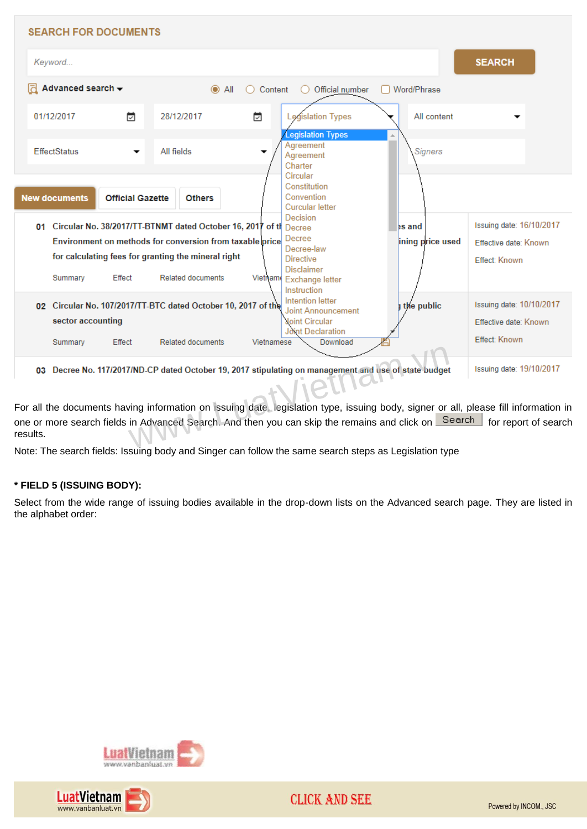

For all the documents having information on issuing date, legislation type, issuing body, signer or all, please fill information in one or more search fields in Advanced Search. And then you can skip the remains and click on **Fore and The Then** for report of search results.

Note: The search fields: Issuing body and Singer can follow the same search steps as Legislation type

## **\* FIELD 5 (ISSUING BODY):**

Select from the wide range of issuing bodies available in the drop-down lists on the Advanced search page. They are listed in the alphabet order:



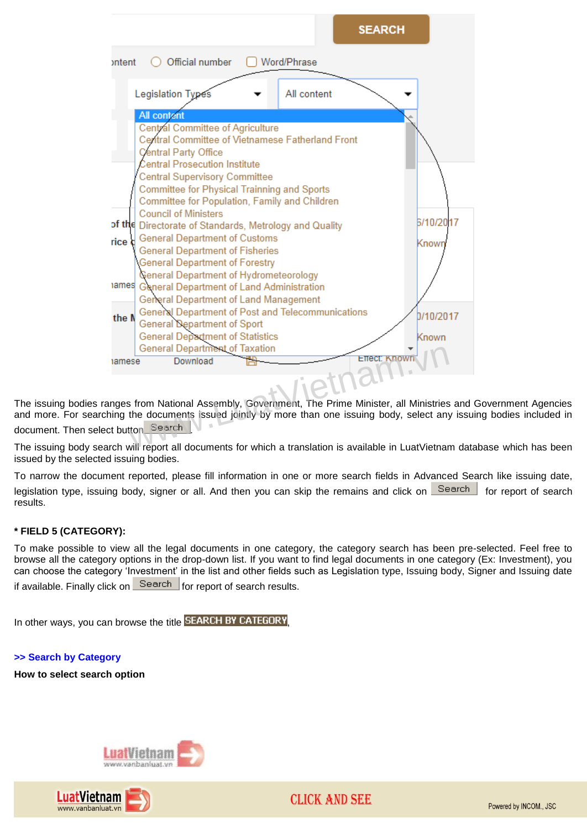

The issuing bodies ranges from National Assembly, Government, The Prime Minister, all Ministries and Government Agencies and more. For searching the documents issued jointly by more than one issuing body, select any issuing bodies included in document. Then select button Search

The issuing body search will report all documents for which a translation is available in LuatVietnam database which has been issued by the selected issuing bodies.

To narrow the document reported, please fill information in one or more search fields in Advanced Search like issuing date, legislation type, issuing body, signer or all. And then you can skip the remains and click on Search for report of search results.

## **\* FIELD 5 (CATEGORY):**

To make possible to view all the legal documents in one category, the category search has been pre-selected. Feel free to browse all the category options in the drop-down list. If you want to find legal documents in one category (Ex: Investment), you can choose the category "Investment" in the list and other fields such as Legislation type, Issuing body, Signer and Issuing date if available. Finally click on  $\frac{Search}{}$  for report of search results.

In other ways, you can browse the title **SEARCH BY CATEGORY** 

## <span id="page-5-0"></span>**>> Search by Category**

**How to select search option**





Powered by INCOM., JSC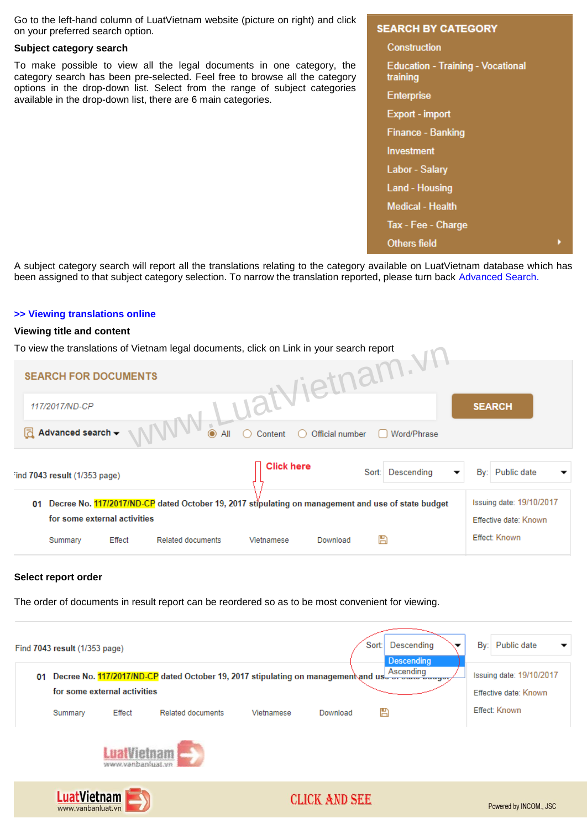Go to the left-hand column of LuatVietnam website (picture on right) and click on your preferred search option.

### **Subject category search**

To make possible to view all the legal documents in one category, the category search has been pre-selected. Feel free to browse all the category options in the drop-down list. Select from the range of subject categories available in the drop-down list, there are 6 main categories.

#### **SEARCH BY CATEGORY**

Construction **Education - Training - Vocational** training **Enterprise** Export - import **Finance - Banking** Investment **Labor - Salary Land - Housing Medical - Health** Tax - Fee - Charge **Others field** 

A subject category search will report all the translations relating to the category available on LuatVietnam database which has been assigned to that subject category selection. To narrow the translation reported, please turn back Advanced Search.

#### <span id="page-6-0"></span>**>> Viewing translations online**

#### **Viewing title and content**

| To view the translations of Vietnam legal documents, click on Link in your search report |                                                                                                    |                       |                                                   |
|------------------------------------------------------------------------------------------|----------------------------------------------------------------------------------------------------|-----------------------|---------------------------------------------------|
| <b>SEARCH FOR DOCUMENTS</b>                                                              | <b>LuatVietnam.VI.</b>                                                                             |                       |                                                   |
| 117/2017/ND-CP                                                                           |                                                                                                    |                       | <b>SEARCH</b>                                     |
| WWW.<br>Advanced search $\star$<br>lā                                                    | $\bullet$ All<br>Content<br>Official number                                                        | Word/Phrase           |                                                   |
| ind 7043 result (1/353 page)                                                             | <b>Click here</b>                                                                                  | Sort: Descending<br>▼ | Public date<br>By:                                |
| 01<br>for some external activities                                                       | Decree No. 117/2017/ND-CP dated October 19, 2017 stipulating on management and use of state budget |                       | Issuing date: 19/10/2017<br>Effective date: Known |
| Effect<br><b>Related documents</b><br>Summary                                            | Vietnamese<br>Download                                                                             | H                     | Effect: Known                                     |

#### **Select report order**

The order of documents in result report can be reordered so as to be most convenient for viewing.

|         | Find 7043 result (1/353 page)           |                                                                                            |            |                      | Descending<br>Sort:                              | By:<br>Public date                                |
|---------|-----------------------------------------|--------------------------------------------------------------------------------------------|------------|----------------------|--------------------------------------------------|---------------------------------------------------|
| 01      | for some external activities            | Decree No. 117/2017/ND-CP dated October 19, 2017 stipulating on management and usless wave |            |                      | <b>Descending</b><br>Ascending<br><b>Teaugus</b> | Issuing date: 19/10/2017<br>Effective date: Known |
| Summary | Effect                                  | <b>Related documents</b>                                                                   | Vietnamese | Download             | Н                                                | Effect: Known                                     |
|         |                                         | www.vanbanluat.vr                                                                          |            |                      |                                                  |                                                   |
|         | <b>LuatVietnam</b><br>www.vanbanluat.vn |                                                                                            |            | <b>CLICK AND SEE</b> |                                                  | Powered by INCOM., JSC                            |